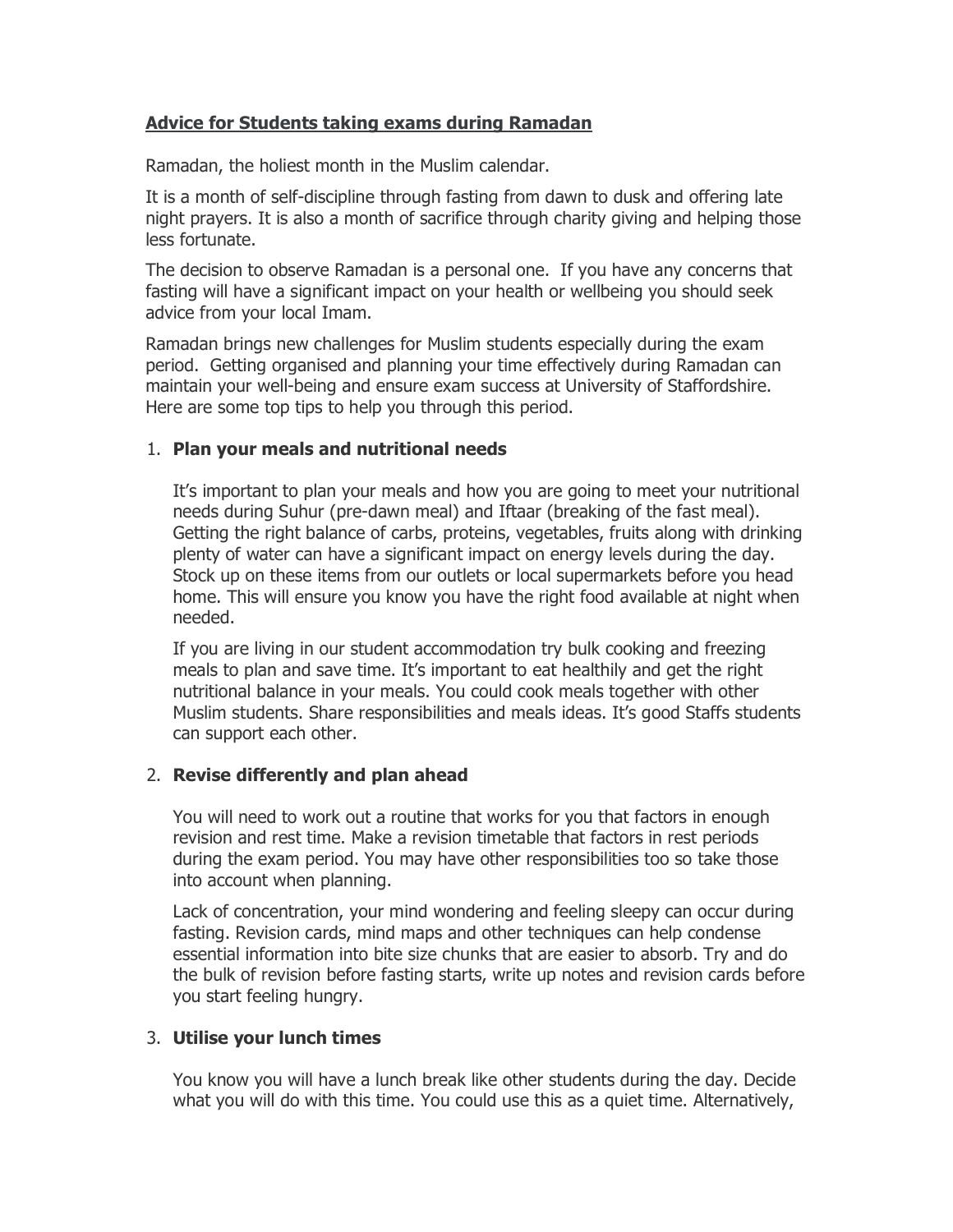# Advice for Students taking exams during Ramadan

Ramadan, the holiest month in the Muslim calendar.

It is a month of self-discipline through fasting from dawn to dusk and offering late night prayers. It is also a month of sacrifice through charity giving and helping those less fortunate.

The decision to observe Ramadan is a personal one. If you have any concerns that fasting will have a significant impact on your health or wellbeing you should seek advice from your local Imam.

Ramadan brings new challenges for Muslim students especially during the exam period. Getting organised and planning your time effectively during Ramadan can maintain your well-being and ensure exam success at University of Staffordshire. Here are some top tips to help you through this period.

### 1. Plan your meals and nutritional needs

It's important to plan your meals and how you are going to meet your nutritional needs during Suhur (pre-dawn meal) and Iftaar (breaking of the fast meal). Getting the right balance of carbs, proteins, vegetables, fruits along with drinking plenty of water can have a significant impact on energy levels during the day. Stock up on these items from our outlets or local supermarkets before you head home. This will ensure you know you have the right food available at night when needed.

If you are living in our student accommodation try bulk cooking and freezing meals to plan and save time. It's important to eat healthily and get the right nutritional balance in your meals. You could cook meals together with other Muslim students. Share responsibilities and meals ideas. It's good Staffs students can support each other.

# 2. Revise differently and plan ahead

You will need to work out a routine that works for you that factors in enough revision and rest time. Make a revision timetable that factors in rest periods during the exam period. You may have other responsibilities too so take those into account when planning.

Lack of concentration, your mind wondering and feeling sleepy can occur during fasting. Revision cards, mind maps and other techniques can help condense essential information into bite size chunks that are easier to absorb. Try and do the bulk of revision before fasting starts, write up notes and revision cards before you start feeling hungry.

# 3. Utilise your lunch times

You know you will have a lunch break like other students during the day. Decide what you will do with this time. You could use this as a quiet time. Alternatively,